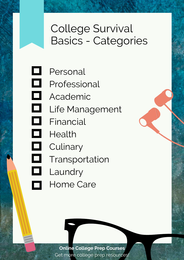### College Survival Basics - Categories

Personal

O

- $\Box$ Professional
- $\blacksquare$ Academic
- $\Box$ Life Management
- $\Box$ Financial
- $\Box$ Health
- $\Box$ **Culinary** O,
	- Transportation
- $\Box$ Laundry
	- Home Care  $\Box$

**Online College Prep Courses** Get more college prep [resources!](https://www.onlinecollegeprepcourses.com/resources)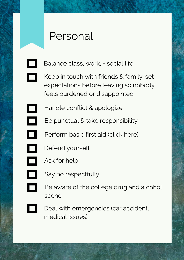#### Personal

 $\Box$ 

- Balance class, work, + social life
- Keep in touch with friends & family: set expectations before leaving so nobody feels burdened or disappointed
- Handle conflict & apologize
- O Be punctual & take responsibility
- $\Box$ [Perform](https://first-aid-product.com/free-first-aid-guide.html) basic first aid (click here)
- $\Box$ Defend yourself
- o Ask for help
	- Say no respectfully
- $\Box$ Be aware of the college drug and alcohol scene
	- Deal with emergencies (car accident, medical issues)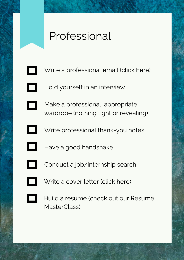### Professional

- Write a professional email (click here)  $\Box$
- $\Box$ Hold yourself in an interview
- Make a professional, appropriate  $\Box$ wardrobe (nothing tight or revealing)
	- Write professional thank-you notes
- O Have a good handshake
	- Conduct a [job/internship](https://www.thebalancecareers.com/how-to-write-and-send-professional-email-messages-2061892) search
- $\Box$

- Write a [cover](https://resumegenius.com/cover-letters-the-how-to-guide) letter (click here)
- 

Build a resume (check out our Resume MasterClass)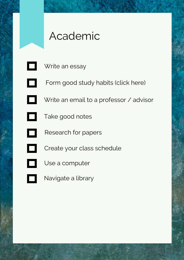# Academic

 $\Box$ 

Write an essay

- **Edit** Form good study [habits](http://www.sylvanlearning.com/blog/index.php/10-good-study-habits-new-school-year/) (click here)
- Write an email to a professor / advisor
- Take good notes
- O Research for papers
- $\Box$
- Create your class schedule
- O

- Use a computer
- Navigate a library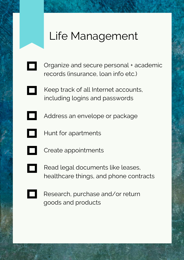# Life Management

- Organize and secure personal + academic records (insurance, loan info etc.)
	- Keep track of all Internet accounts, including logins and passwords
		- Address an envelope or package
	- Hunt for apartments
- 
- Create appointments
- 
- Read legal documents like leases, healthcare things, and phone contracts
- 
- Research, purchase and/or return goods and products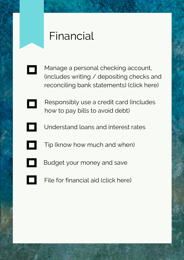### Financial

- Manage a personal checking account, (includes writing / depositing checks and reconciling bank [statements\)](https://bettermoneyhabits.bankofamerica.com/en/personal-banking/teen-checking-account) (click here)
	- Responsibly use a credit card (includes how to pay bills to avoid debt)
- Understand loans and interest rates
- $\Box$ Tip (know how much and when)
- Budget your money and save
- File for [financial](https://www.khanacademy.org/college-careers-more/college-admissions/paying-for-college/financial-aid-process/v/overview-of-fafsa-and-css-profile) aid (click here)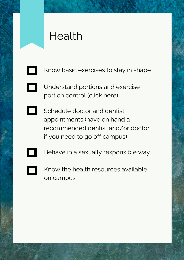# Health

 $\Box$ 

- Know basic exercises to stay in shape
- [Understand](https://www.webmd.com/diet/ss/slideshow-serving-sizes) portions and exercise portion control (click here)
- Schedule doctor and dentist appointments (have on hand a recommended dentist and/or doctor if you need to go off campus)
- Behave in a sexually responsible way
	- Know the health resources available on campus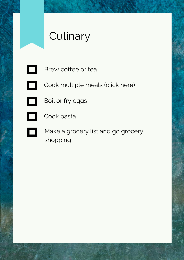# **Culinary**

Brew coffee or tea

Cook [multiple](https://www.favfamilyrecipes.com/easy-college-recipes-for-college-students/) meals (click here)

 $\Box$ 

 $\Box$ 

Boil or fry eggs

0 Cook pasta

> Make a grocery list and go grocery shopping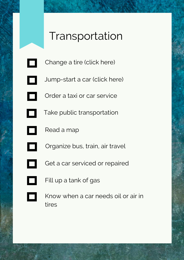### Transportation

- [Change](https://www.bridgestonetire.com/tread-and-trend/drivers-ed/how-to-change-a-flat-tire) a tire (click here)  $\Box$
- [Jump-start](https://www.dummies.com/home-garden/car-repair/how-to-jump-start-a-car/) a car (click here)  $\Box$
- Order a taxi or car service
	- Take public transportation
- Read a map
- Organize bus, train, air travel
	- Get a car serviced or repaired
- $\Box$

 $\Box$ 

- Fill up a tank of gas
- Know when a car needs oil or air in tires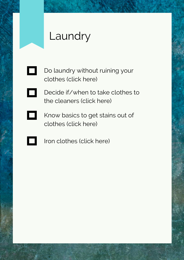# Laundry

- Do [laundry](https://www.collegeraptor.com/find-colleges/articles/tips-tools-advice/tips-for-doing-your-own-laundry/) without ruining your  $\Box$ clothes (click here)
- Decide if/when to take clothes to  $\Box$ the [cleaners](https://www.realsimple.com/home-organizing/cleaning/laundry/do-i-have-to-dry-clean-this) (click here)
- $\Box$ Know basics to get stains out of [clothes](https://www.sheknows.com/home-and-gardening/articles/8153/stain-removal-smarts-how-to-get-stains-out-of-your-clothes) (click here)
	- Iron [clothes](https://lifehacker.com/5811853/how-to-properly-iron-shirts-pants-and-skirts) (click here)